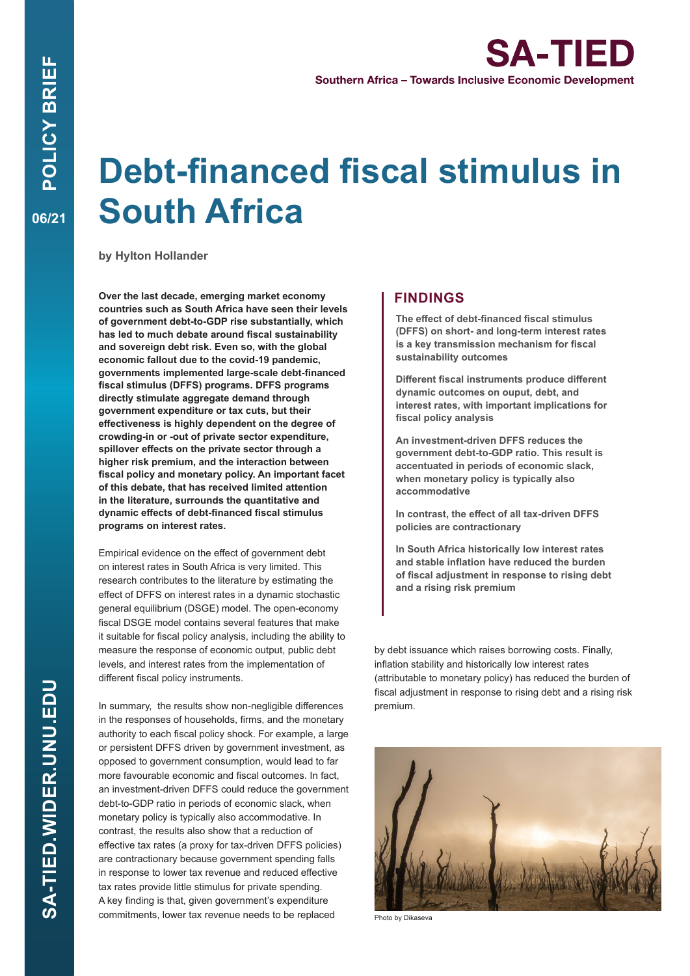# **Debt-financed fiscal stimulus in South Africa**

**by Hylton Hollander**

**Over the last decade, emerging market economy countries such as South Africa have seen their levels of government debt-to-GDP rise substantially, which has led to much debate around fiscal sustainability and sovereign debt risk. Even so, with the global economic fallout due to the covid-19 pandemic, governments implemented large-scale debt-financed fiscal stimulus (DFFS) programs. DFFS programs directly stimulate aggregate demand through government expenditure or tax cuts, but their effectiveness is highly dependent on the degree of crowding-in or -out of private sector expenditure, spillover effects on the private sector through a higher risk premium, and the interaction between fiscal policy and monetary policy. An important facet of this debate, that has received limited attention in the literature, surrounds the quantitative and dynamic effects of debt-financed fiscal stimulus programs on interest rates.**

Empirical evidence on the effect of government debt on interest rates in South Africa is very limited. This research contributes to the literature by estimating the effect of DFFS on interest rates in a dynamic stochastic general equilibrium (DSGE) model. The open-economy fiscal DSGE model contains several features that make it suitable for fiscal policy analysis, including the ability to measure the response of economic output, public debt levels, and interest rates from the implementation of different fiscal policy instruments.

In summary, the results show non-negligible differences in the responses of households, firms, and the monetary authority to each fiscal policy shock. For example, a large or persistent DFFS driven by government investment, as opposed to government consumption, would lead to far more favourable economic and fiscal outcomes. In fact, an investment-driven DFFS could reduce the government debt-to-GDP ratio in periods of economic slack, when monetary policy is typically also accommodative. In contrast, the results also show that a reduction of effective tax rates (a proxy for tax-driven DFFS policies) are contractionary because government spending falls in response to lower tax revenue and reduced effective tax rates provide little stimulus for private spending. A key finding is that, given government's expenditure commitments, lower tax revenue needs to be replaced

## **FINDINGS**

**The effect of debt-financed fiscal stimulus (DFFS) on short- and long-term interest rates is a key transmission mechanism for fiscal sustainability outcomes**

**Different fiscal instruments produce different dynamic outcomes on ouput, debt, and interest rates, with important implications for fiscal policy analysis**

**An investment-driven DFFS reduces the government debt-to-GDP ratio. This result is accentuated in periods of economic slack, when monetary policy is typically also accommodative**

**In contrast, the effect of all tax-driven DFFS policies are contractionary**

**In South Africa historically low interest rates and stable inflation have reduced the burden of fiscal adjustment in response to rising debt and a rising risk premium**

by debt issuance which raises borrowing costs. Finally, inflation stability and historically low interest rates (attributable to monetary policy) has reduced the burden of fiscal adjustment in response to rising debt and a rising risk premium.



Photo by Dikaseva